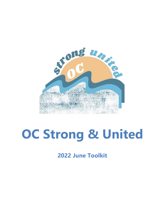

# **OC Strong & United**

**2022 June Toolkit**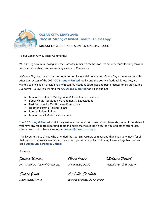

# **OCEAN CITY, MARYLAND 2022 OC Strong & United Toolkit - Eblast Copy**

**SUBJECT LINE:** OC STRONG & UNITED JUNE 2022 TOOLKIT

To our Ocean City Business Community:

With spring now in full swing and the start of summer on the horizon, we are very much looking forward to the months ahead and welcoming visitors to Ocean City.

In Ocean City, we strive to partner together to give our visitors the best Ocean City experience possible. After the success of the 2021 **OC Strong & United** toolkit and the positive feedback it received, we wanted to once again provide you with communications strategies and best practices to ensure you feel supported. Below you will find the **OC Strong & United** toolkit, including:

- General Reputation Management & Expectation Guidelines
- Social Media Reputation Management & Expectations
- Best Practices for Our Business Community
- Updated External Talking Points
- Internal Talking Points
- General Social Media Best Practices

The **OC Strong & United** toolkit may evolve as summer draws nearer, so please stay tuned for updates. If you have any feedback regarding additional tools that would be helpful to you and other businesses, please reach out to Jessica Waters at [JWaters@oceancitymd.gov.](mailto:JWaters@oceancitymd.gov)

Thank you to those of you who attended the Tourism Partners seminar and thank you very much for all that you do to make Ocean City such an amazing community. By continuing to work together, we can keep **Ocean City Strong & United**!

Sincerely,

*Jessica Waters Glenn Irwin Melanie Pursel*

*Jessica Waters, Town of Ocean City Glenn Irwin, OCDC Melanie Pursel, Worcester* 

*Susan Jones Lachelle Scarlato*

*Susan Jones, HMRA Lachelle Scarlato, OC Chamber*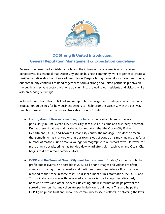

# **OC Strong & United Introduction: General Reputation Management & Expectation Guidelines**

Between the news media's 24-hour cycle and the influence of social media on consumers' perspectives, it's essential that Ocean City and its business community work together to create a positive narrative about our beloved beach town. Despite facing tremendous challenges in June, our community continues to band together to form a strong and united partnership between the public and private sectors with one goal in mind: protecting our residents and visitors, while also preserving our image.

Included throughout this toolkit below are reputation management strategies and community expectation guidelines for how business owners can help promote Ocean City in the best way possible. If we work together, we will truly stay Strong & United.

- **History doesn't lie – so remember, it's June**. During certain times of the year, particularly in June, Ocean City historically sees a spike in crime and disorderly behavior. During these situations and incidents, it's important that the Ocean City Police Department (OCPD) and Town of Ocean City control the message. This doesn't mean that something has changed or that our town is out of control; it simply means that for a number of reasons, June draws a younger demographic to our resort town. However, for more than a decade, crime has trended downward after July 1 each year, and Ocean City begins to draw in more family visitors.
- **OCPD and the Town of Ocean City must be transparent.** "Hiding" incidents or highprofile public events isn't possible in 2022. Cell phone images and videos are often already circulating on social media and traditional news sites before officers can even respond to the scene in some cases. To dispel rumors or misinformation, the OCPD and Town will share updates with news media or on social media regarding disorderly behavior, arrests and other incidents. Releasing public information helps prevent the spread of rumors that may circulate, particularly on social media. This also helps the OCPD gain public trust and allows the community to see its efforts in enforcing the laws.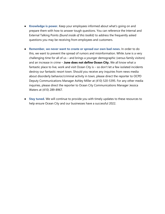- **Knowledge is power.** Keep your employees informed about what's going on and prepare them with how to answer tough questions. You can reference the Internal and External Talking Points *(found inside of this toolkit)* to address the frequently asked questions you may be receiving from employees and customers.
- **Remember, we never want to create or spread our own bad news.** In order to do this, we want to prevent the spread of rumors and misinformation. While June is a very challenging time for all of us – and brings a younger demographic (versus family visitors) and an increase in crime – **June does not define Ocean City.** We all know what a fantastic place to live, work and visit Ocean City is - so don't let a few isolated incidents destroy our fantastic resort town. Should you receive any inquiries from news media about disorderly behavior/criminal activity in town, please direct the reporter to OCPD Deputy Communications Manager Ashley Miller at (410) 520-5395. For any other media inquiries, please direct the reporter to Ocean City Communications Manager Jessica Waters at (410) 289-8967.
- **Stay tuned.** We will continue to provide you with timely updates to these resources to help ensure Ocean City and our businesses have a successful 2022.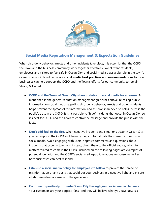

# **Social Media Reputation Management & Expectation Guidelines**

When disorderly behavior, arrests and other incidents take place, it is essential that the OCPD, the Town and the business community work together effectively. We all want residents, employees and visitors to feel safe in Ocean City, and social media plays a big role in the town's overall image. Outlined below are **social media best practices and recommendations** for how businesses can help support the OCPD and the Town's efforts for our community to remain Strong & United.

- **OCPD and the Town of Ocean City share updates on social media for a reason.** As mentioned in the general reputation management guidelines above, releasing public information on social media regarding disorderly behavior, arrests and other incidents helps prevent the spread of misinformation, and this transparency also helps increase the public's trust in the OCPD. It isn't possible to "hide" incidents that occur in Ocean City, so it's best for OCPD and the Town to control the message and provide the public with the facts.
- **Don't add fuel to the fire.** When negative incidents and situations occur in Ocean City, you can support the OCPD and Town by helping to mitigate the spread of rumors on social media. Avoid engaging with users' negative comments and questions about incidents that occur in town and instead, direct them to the official source, which for matters related to crime is the OCPD. Included on the following pages are examples of potential scenarios and the OCPD's social media/public relations response, as well as how businesses can best respond.
- **Establish a social media policy for employees to follow** to prevent the spread of misinformation or any posts that could put your business in a negative light, and ensure all staff members are aware of the guidelines.
- **Continue to positively promote Ocean City through your social media channels.**  Your customers are your biggest "fans" and they will believe what you say! Now is a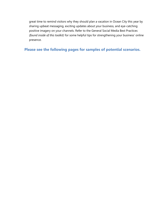great time to remind visitors why they should plan a vacation in Ocean City this year by sharing upbeat messaging, exciting updates about your business, and eye-catching positive imagery on your channels. Refer to the General Social Media Best Practices *(found inside of this toolkit)* for some helpful tips for strengthening your business' online presence.

**Please see the following pages for samples of potential scenarios.**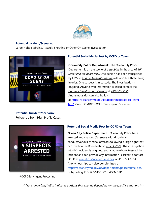

#### **Potential Incident/Scenario:**

Large Fight, Stabbing, Assault, Shooting or Other On-Scene Investigation



#### **Potential Social Media Post by OCPD or Town:**

**Ocean City Police Department:** The Ocean City Police Department is on the scene of a *stabbing* in the area of *10th Street and the Boardwalk*. One person has been transported by EMS to *Atlantic General Hospital* with non-life-threatening injuries. One suspect is in custody. The investigation is ongoing. Anyone with information is asked contact the *Criminal Investigations Division* at *410-520-5136*. Anonymous tips can also be left at [https://oceancitymd.gov/oc/departments/police/crime](https://oceancitymd.gov/oc/departments/police/crime-tips/?fbclid=IwAR2g_ntnHtH8fsyaQ-lvN2HVy_gaB2HCIk9RVX4LFgPp4qvPzLojuYJvHrU)[tips/.](https://oceancitymd.gov/oc/departments/police/crime-tips/?fbclid=IwAR2g_ntnHtH8fsyaQ-lvN2HVy_gaB2HCIk9RVX4LFgPp4qvPzLojuYJvHrU) #YourOCMDPD #OCPDServingandProtecting

# **Potential Incident/Scenario:**

Follow-Up from High Profile Cases



# **Potential Social Media Post by OCPD or Town:**

**Ocean City Police Department: Ocean City Police have** arrested and charged *5 suspects* with disorderly conduct/various criminal offenses following a large fight that occurred on the Boardwalk on *June 3, 2021*. The investigation into this incident is ongoing, and anyone who witnessed the incident and can provide any information is asked to contact OCPD at [crimetips@oceancitymd.gov](mailto:crimetips@oceancitymd.gov) or 410-723-6604. Anonymous tips can also be submitted at <https://oceancitymd.gov/oc/departments/police/crime-tips/> or by calling 410-520-5136. #YourOCMDPD

#OCPDServingandProtecting

*\*\*\* Note: underline/italics indicates portions that change depending on the specific situation. \*\*\**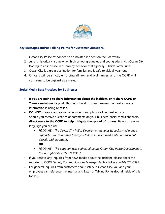

# **Key Messages and/or Talking Points for Customer Questions:**

- 1. Ocean City Police responded to an isolated incident on the Boardwalk.
- 2. June is historically a time when high school graduates and young adults visit Ocean City, leading to an increase in disorderly behavior that typically subsides after June.
- 3. Ocean City is a great destination for families and is safe to visit all year long.
- 4. Officers will be strictly enforcing all laws and ordinances, and the OCPD will continue to be vigilant as always.

# **Social Media Best Practices for Businesses:**

- **If you are going to share information about the incident, only share OCPD or Town's social media post.** This helps build trust and assures the most accurate information is being released.
- **DO NOT** share or reshare negative videos and photos of criminal activity.
- Should you receive questions or comments on your business' social media channels, **direct users to the OCPD to help mitigate the spread of rumors.** Below is sample language you can use:
	- *Hi [NAME]- The Ocean City Police Department updates its social media page regularly. We recommend that you follow its social media sites or reach out directly with questions.*

**OR**

- Hi [NAME]- This situation was addressed by the Ocean City Police Department in *this post [INSERT LINK TO POST].*
- If you receive any inquiries from news media about the incident, please direct the reporter to OCPD Deputy Communications Manager Ashley Miller at (410) 520-5395.
- For general inquiries from customers about safety in Ocean City, you and your employees can reference the Internal and External Talking Points (found inside of this toolkit).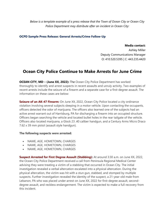*Below is a template example of a press release that the Town of Ocean City or Ocean City Police Department may distribute after an incident in Ocean City:*

#### **OCPD Sample Press Release: General Arrests/Crime Follow-Up**

#### **Media contact:**

Ashley Miller Deputy Communications Manager O: 410.520.5395 | C: 443.235.4420

# **Ocean City Police Continue to Make Arrests for June Crime**

**OCEAN CITY, MD – (June XX, 2022):** The Ocean City Police Department has worked thoroughly to identify and arrest suspects in recent assaults and unruly activity. Two examples of recent arrests include the seizure of a firearm and a separate case for a first-degree assault. The information on these cases are below:

**Seizure of an AK-47 Firearm:** On June XX, 2022, Ocean City Police located a city ordinance violation involving several subjects sleeping in a motor vehicle. Upon contacting the occupants, officers detected the odor of marijuana. The officers also learned one of the subjects had an active arrest warrant out of Harrisburg, PA for discharging a firearm into an occupied structure. Officers began searching the vehicle and located bullet holes in the rear tailgate of the vehicle. Officers also located marijuana, a Glock 23 .40 caliber handgun, and a Century Arms Micro Draco 7.62 x 39 mm pistol (assault style handgun).

#### **The following suspects were arrested:**

- NAME, AGE, HOMETOWN, CHARGES
- NAME, AGE, HOMETOWN, CHARGES
- NAME, AGE, HOMETOWN, CHARGES

**Suspect Arrested for First Degree Assault (Stabbing):** At around 3:30 a.m. on June XX, 2022, the Ocean City Police Department received a call from Peninsula Regional Medical Center advising they were treating a victim of a stabbing that occurred in Ocean City. The initial investigation revealed a verbal altercation escalated into a physical altercation. During the physical altercation, the victim was hit with a stun gun, stabbed, and stomped by multiple suspects. Further investigation revealed the identity of the suspect, a 21-year-old male from Lebanon, PA who was placed under arrest on June XX, 2022 for first-degree assault, seconddegree assault, and reckless endangerment. The victim is expected to make a full recovery from this incident.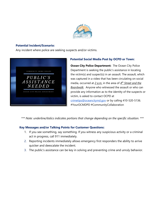

#### **Potential Incident/Scenario:**

Any incident where police are seeking suspects and/or victims.



# **Potential Social Media Post by OCPD or Town:**

**Ocean City Police Department: The Ocean City Police** Department is seeking the public's assistance in locating the victim(s) and suspect(s) in an assault. The assault, which was captured in a video that has been circulating on social media, occurred at  $2$  *a.m.* in the area of  $4<sup>th</sup>$  *Street and the Boardwalk*. Anyone who witnessed the assault or who can provide any information as to the identity of the suspects or victim, is asked to contact OCPD at [crimetips@oceancitymd.gov](mailto:crimetips@oceancitymd.gov) or by calling 410-520-5136. #YourOCMDPD #CommunityCollaboration

*\*\*\* Note: underline/italics indicates portions that change depending on the specific situation. \*\*\**

# **Key Messages and/or Talking Points for Customer Questions:**

- 1. If you see something, say something. If you witness any suspicious activity or a criminal act in progress, call 911 immediately.
- 2. Reporting incidents immediately allows emergency first responders the ability to arrive quicker and deescalate the incident.
- 3. The public's assistance can be key in solving and preventing crime and unruly behavior.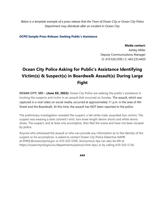*Below is a template example of a press release that the Town of Ocean City or Ocean City Police Department may distribute after an incident in Ocean City:*

**OCPD Sample Press Release: Seeking Public's Assistance**

#### **Media contact:**

Ashley Miller Deputy Communications Manager O: 410.520.5395 | C: 443.235.4420

# **Ocean City Police Asking for Public's Assistance Identifying Victim(s) & Suspect(s) in Boardwalk Assault(s) During Large Fight**

**OCEAN CITY, MD – (June XX, 2022):** Ocean City Police are seeking the public's assistance in locating the suspects and victim in an assault that occurred on Sunday. The assault, which was captured in a viral video on social media, occurred at approximately 11 p.m. in the area of 4th Street and the Boardwalk. At this time, the assault has NOT been reported to the police.

The preliminary investigation revealed the suspect, a tall white male, assaulted two victims. The suspect was wearing a dark colored t-shirt, torn knee length denim shorts and white tennis shoes. The suspect, and at least one accomplice, then fled the scene and have not been located by police.

Anyone who witnessed the assault or who can provide any information as to the identity of the suspect or his accomplices, is asked to contact Ocean City Police Detective *NAME* at *EMAIL@oceancitymd.gov* or 410-520-5390. Anonymous tips can also be left at https://oceancitymd.gov/oc/departments/police/crime-tips/ or by calling 410-520-5136.

**###**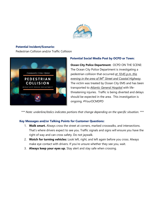

#### **Potential Incident/Scenario:**

Pedestrian Collision and/or Traffic Collision



# **Potential Social Media Post by OCPD or Town:**

**Ocean City Police Department:** OCPD ON THE SCENE: The Ocean City Police Department is investigating a pedestrian collision that occurred *at 10:45 p.m. this evening in the area of 94th Street and Coastal Highway*. The victim was treated by Ocean City EMS and has been transported to *Atlantic General Hospital* with lifethreatening injuries. Traffic is being diverted and delays should be expected in the area. This investigation is ongoing. #YourOCMDPD

*\*\*\* Note: underline/italics indicates portions that change depending on the specific situation. \*\*\**

# **Key Messages and/or Talking Points for Customer Questions:**

- 1. **Walk smart.** Always cross the street at corners, marked crosswalks, and intersections. That's where drivers expect to see you. Traffic signals and signs will ensure you have the right of way and can cross safety. Do not jaywalk.
- 2. **Watch for turning vehicles:** Look left, right, and left again before you cross. Always make eye contact with drivers. If you're unsure whether they see you, wait.
- 3. **Always keep your eyes up.** Stay alert and stay safe when crossing.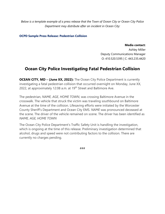*Below is a template example of a press release that the Town of Ocean City or Ocean City Police Department may distribute after an incident in Ocean City:*

**OCPD Sample Press Release: Pedestrian Collision**

**Media contact:**

Ashley Miller Deputy Communications Manager O: 410.520.5395 | C: 443.235.4420

# **Ocean City Police Investigating Fatal Pedestrian Collision**

**OCEAN CITY, MD – (June XX, 2022):** The Ocean City Police Department is currently investigating a fatal pedestrian collision that occurred overnight on Monday, June XX, 2022, at approximately 12:08 a.m. at 19<sup>th</sup> Street and Baltimore Ave.

The pedestrian, *NAME, AGE, HOME TOWN*, was crossing Baltimore Avenue in the crosswalk. The vehicle that struck the victim was traveling southbound on Baltimore Avenue at the time of the collision. Lifesaving efforts were initiated by the Worcester County Sheriff's Department and Ocean City EMS. *NAME* was pronounced deceased at the scene. The driver of the vehicle remained on scene. The driver has been identified as *NAME, AGE, HOME TOWN*

The Ocean City Police Department's Traffic Safety Unit is handling the investigation, which is ongoing at the time of this release. Preliminary investigation determined that alcohol, drugs and speed were not contributing factors to the collision. There are currently no charges pending.

###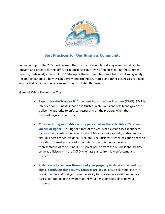

# **Best Practices for Our Business Community**

In gearing up for the 2022 peak season, the Town of Ocean City is doing everything it can to prevent and prepare for the difficult circumstances our town often faces during the summer months, particularly in June. Our **OC Strong & United** Team has provided the following safety recommendations on how Ocean City's wonderful hotels, motels and other businesses can help ensure that our community remains Strong & United this year.

#### **General Crime Prevention Tips:**

- **Sign up for the Trespass Enforcement Authorization Program (TEAP).** TEAP is intended for businesses that close (such as restaurants and retail) and gives the police the authority to enforce trespassing on the property when the owner/designee is not present.
- **Consider hiring reputable security personnel and/or establish a "Business Owner Designee."** During the times of the year when Ocean City experiences increases in disorderly behavior, having 24-hour on-site security and/or an onsite "Business Owner Designee" is helpful. The Business Owner Designee needs to be a decision-maker and easily identified as security personnel or a representative of the business. This point person from the business should also serve as a liaison with the OCPD when assistance from law enforcement is needed.
- **Install security cameras throughout your property to deter crime, and post signs identifying that security cameras are in use.** Ensure all cameras are in working order and that you have the ability to provide police with immediate access to footage in the event that unlawful behavior takes place on your property.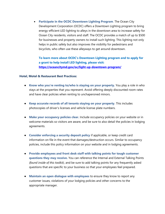• **Participate in the OCDC Downtown Lighting Program**. The Ocean City Development Corporation (OCDC) offers a Downtown Lighting program to bring energy-efficient LED lighting to alleys in the downtown area to increase safety for Ocean City residents, visitors and staff. The OCDC provides a match of up to \$500 for businesses and property owners to install such lighting. This lighting not only helps in public safety but also improves the visibility for pedestrians and bicyclists, who often use these alleyways to get around downtown.

**To learn more about OCDC's Downtown Lighting program and to apply for a grant to help install LED lighting, please visit: <https://oceancitymd.gov/oc/light-up-downtown-program/>**

#### **Hotel, Motel & Restaurant Best Practices:**

- **Know who you're renting to/who is staying on your property.** You play a role in who stays at the properties that you represent. Avoid offering deeply discounted room rates and have clear policies when renting to unchaperoned minors.
- **Keep accurate records of all tenants staying on your property**. This includes photocopies of driver's licenses and vehicle license plate numbers.
- **Make your occupancy policies clear.** Include occupancy policies on your website or in welcome materials so visitors are aware, and be sure to also detail the policies in lodging agreements.
- **Consider enforcing a security deposit policy** if applicable, or keep credit card information on file in the event that damages/destruction occurs. Similar to occupancy policies, include this policy information on your website and in lodging agreements.
- **Provide employees and front desk staff with talking points for tough customer questions they may receive.** You can reference the Internal and External Talking Points *(found inside of this toolkit)*, and be sure to add talking points for any frequently asked questions that are specific to your business so that your employees feel prepared.
- **Maintain an open dialogue with employees** to ensure they know to report any customer issues, violations of your lodging policies and other concerns to the appropriate manager.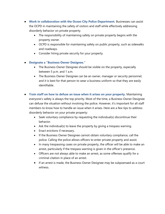- **Work in collaboration with the Ocean City Police Department.** Businesses can assist the OCPD in maintaining the safety of visitors and staff while effectively addressing disorderly behavior on private property.
	- The responsibility of maintaining safety on private property begins with the property owner.
	- OCPD is responsible for maintaining safety on public property, such as sidewalks and roadways.
	- Consider hiring private security for your property.

# ● **Designate a "Business Owner Designee."**

- The Business Owner Designee should be visible on the property, especially between 5 p.m. and 1 a.m.
- The Business Owner Designee can be an owner, manager or security personnel, and it is best for that person to wear a business uniform so that they are easily identifiable.
- **Train staff on how to defuse an issue when it arises on your property.** Maintaining everyone's safety is always the top priority. Most of the time, a Business Owner Designee can defuse the situation without involving the police. However, it's important for all staff members to know how to handle an issue when it arises. Here are a few tips to address disorderly behavior on your private property:
	- Seek voluntary compliance by requesting the individual(s) discontinue their behavior.
	- Ask the individual(s) to leave the property by giving a trespass warning.
	- Enact evictions if necessary.
	- If the Business Owner Designee cannot obtain voluntary compliance, call the police. Calling the police allows officers to enter private property and assist.
	- In many trespassing cases on private property, the officer will be able to make an arrest, particularly if the trespass warning is given in the officer's presence.
	- Officers are not always able to make an arrest, as some offenses qualify for a criminal citation in place of an arrest.
	- If an arrest is made, the Business Owner Designee may be subpoenaed as a court witness.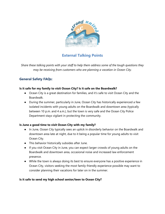

# **External Talking Points**

*Share these talking points with your staff to help them address some of the tough questions they may be receiving from customers who are planning a vacation in Ocean City.*

# **General Safety FAQs:**

# **Is it safe for my family to visit Ocean City? Is it safe on the Boardwalk?**

- Ocean City is a great destination for families, and it's safe to visit Ocean City and the Boardwalk.
- During the summer, particularly in June, Ocean City has historically experienced a few isolated incidents with young adults on the Boardwalk and downtown area (typically between 10 p.m. and 4 a.m.), but the town is very safe and the Ocean City Police Department stays vigilant in protecting the community.

# **Is June a good time to visit Ocean City with my family?**

- In June, Ocean City typically sees an uptick in disorderly behavior on the Boardwalk and downtown area late at night, due to it being a popular time for young adults to visit Ocean City.
- This behavior historically subsides after June.
- If you visit Ocean City in June, you can expect larger crowds of young adults on the Boardwalk and downtown area, occasional noise and increased law enforcement presence.
- While the town is always doing its best to ensure everyone has a positive experience in Ocean City, visitors seeking the most family-friendly experience possible may want to consider planning their vacations for later on in the summer.

# **Is it safe to send my high school senior/teen to Ocean City?**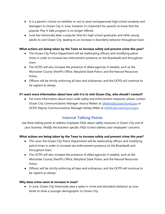- It is a parent's choice on whether or not to send unchaperoned high school students and teenagers to Ocean City in June, however it's important for parents to know that the popular Play It Safe program is no longer offered.
- June has historically been a popular time for high school graduates and other young adults to visit Ocean City, leading to an increase in disorderly behavior throughout town.

# **What actions are being taken by the Town to increase safety and prevent crime this year?**

- The Ocean City Police Department will be reallocating officers and modifying patrol times in order to increase law enforcement presence on the Boardwalk and throughout town.
- The OCPD will also increase the presence of allied agencies if needed, such as the Worcester County Sheriff's Office, Maryland State Police, and the Natural Resources Police.
- Officers will be strictly enforcing all laws and ordinances, and the OCPD will continue to be vigilant as always.

# **If I want more information about how safe it is to visit Ocean City, who should I contact?**

● For more information about town-wide safety and enforcement measures, please contact Ocean City Communications Manager Jessica Waters at *JWaters@oceancitymd.gov* or OCPD Deputy Communications Manager Ashley Miller at [AMiller@oceancitymd.gov.](mailto:AMiller@oceancitymd.gov)

# **Internal Talking Points**

*Use these talking points to address employee FAQs about safety measures in Ocean City and at your business. Modify the business-specific FAQs to best address your employees' concerns.*

# **What actions are being taken by the Town to increase safety and prevent crime this year?**

- This June, the Ocean City Police Department will be reallocating officers and modifying patrol times in order to increase law enforcement presence on the Boardwalk and throughout town.
- The OCPD will also increase the presence of allied agencies if needed, such as the Worcester County Sheriff's Office, Maryland State Police, and the Natural Resources Police.
- Officers will be strictly enforcing all laws and ordinances, and the OCPD will continue to be vigilant as always.

# **Why does crime seem to increase in June?**

● In June, Ocean City historically sees a spike in crime and disorderly behavior as June tends to draw a younger demographic to Ocean City.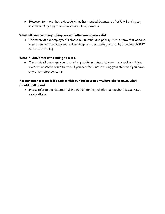● However, for more than a decade, crime has trended downward after July 1 each year, and Ocean City begins to draw in more family visitors.

# **What will you be doing to keep me and other employees safe?**

● The safety of our employees is always our number one priority. Please know that we take your safety very seriously and will be stepping up our safety protocols, including [INSERT SPECIFIC DETAILS].

#### **What if I don't feel safe coming to work?**

• The safety of our employees is our top priority, so please let your manager know if you ever feel unsafe to come to work, if you ever feel unsafe during your shift, or if you have any other safety concerns.

# **If a customer asks me if it's safe to visit our business or anywhere else in town, what should I tell them?**

● Please refer to the "External Talking Points" for helpful information about Ocean City's safety efforts.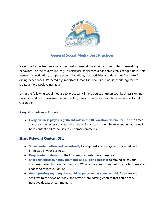

# **General Social Media Best Practices**

Social media has become one of the most influential forces in consumers' decision-making behaviors. For the tourism industry in particular, social media has completely changed how users research a destination, compare accommodations, plan activities and determine "must-try" dining experiences. It's incredibly important Ocean City and its businesses work together to create a more positive narrative.

Using the following social media best practices will help you strengthen your business's online presence and help showcase the unique, fun, family-friendly vacation that can only be found in Ocean City.

# **Keep it Positive + Upbeat**

● **Every business plays a significant role in the OC vacation experience.** The fun times and great memories your business creates for visitors should be reflected in your tone in both content and responses to customer comments.

# **Share Relevant Content Often**

- **Share content often and consistently** to keep customers engaged, informed and interested in your business.
- **Keep content relevant** to the business and customer experience.
- **Share fun insights, happy moments and exciting updates** to remind all of your customers, even those not currently in OC, why they feel connected to your business and choose to follow you online.
- **Avoid posting anything that could be perceived as controversial.** Be aware and sensitive to the news of today, and refrain from posting content that could spark negative debate or commentary.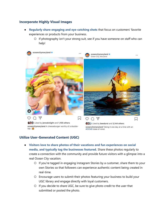# **Incorporate Highly Visual Images**

- **Regularly share engaging and eye-catching shots** that focus on customers' favorite experiences or products from your business.
	- If photography isn't your strong suit, see if you have someone on staff who can help!



# **Utilize User-Generated Content (UGC)**

- **Visitors love to share photos of their vacations and fun experiences on social media, and typically tag the businesses featured.** Share these photos regularly to create a connection with the community and provide future visitors with a glimpse into a real Ocean City vacation.
	- If you're tagged in engaging Instagram Stories by a customer, share them to your own Stories so that followers can experience authentic content being created in real-time.
	- Encourage users to submit their photos featuring your business to build your UGC library and engage directly with loyal customers.
	- If you decide to share UGC, be sure to give photo credit to the user that submitted or posted the photo.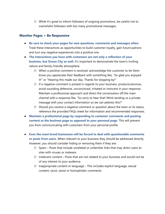○ While it's great to inform followers of ongoing promotions, be careful not to overwhelm followers with too many promotional messages.

# **Monitor Pages + Be Responsive**

- **Be sure to check your pages for new questions, comments and messages often.** Treat these interactions as opportunities to build customer loyalty, gain future patrons and turn any negative experiences into a positive one.
- **The interactions you have with customers are not only a reflection of your business, but Ocean City as well.** It's important to demonstrate the town's inviting nature and family-friendly atmosphere.
	- When a positive comment is received, acknowledge the customer to let them know you appreciate their feedback with something like, "So glad you enjoyed it!" or "Hearing this made our day. Thanks for stopping by!"
	- If a negative comment is posted in regards to your business, products/services, avoid sounding defensive, unconvinced, irritated or insincere in your response. Maintain a professional approach and direct the conversation off the main channel with a response like, "So sorry to hear that! Mind sending us a private message with your contact information so we can address this?"
	- Should you receive a negative comment or question about the town or its status, reference the provided FAQs sheet for information and recommended responses.
- **Maintain a professional page by responding to customer comments and posting content as the business page as opposed to your personal page.** This will prevent you from communicating with customers from your personal profile.
- **Even the most loved businesses will be forced to deal with questionable comments or posts from users.** When relevant to your business they should be addressed directly. However, you should consider hiding or removing them if they are:
	- Spam Posts that include unrelated or unfamiliar links that may direct users to sites with viruses or malware.
	- Irrelevant content Posts that are not related to your business and would not be of any interest to your audience.
	- Inappropriate content or language This includes explicit language, sexual content, racist, sexist or homophobic comments.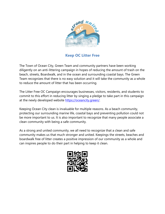

**Keep OC Litter Free**

The Town of Ocean City, Green Team and community partners have been working diligently on an anti-littering campaign in hopes of reducing the amount of trash on the beach, streets, Boardwalk, and in the ocean and surrounding coastal bays. The Green Team recognizes that there is no easy solution and it will take the community as a whole to reduce the amount of litter that has been occurring.

The Litter Free OC Campaign encourages businesses, visitors, residents, and students to commit to this effort in reducing litter by singing a pledge to take part in this campaign at the newly developed website [https://oceancity.green/.](https://oceancity.green/)

Keeping Ocean City clean is invaluable for multiple reasons. As a beach community, protecting our surrounding marine life, coastal bays and preventing pollution could not be more important to us. It is also important to recognize that many people associate a clean community with being a safe community.

As a strong and united community, we all need to recognize that a clean and safe community makes us that much stronger and united. Keepings the streets, beaches and boardwalk free of litter creates a positive impression of our community as a whole and can inspires people to do their part in helping to keep it clean.